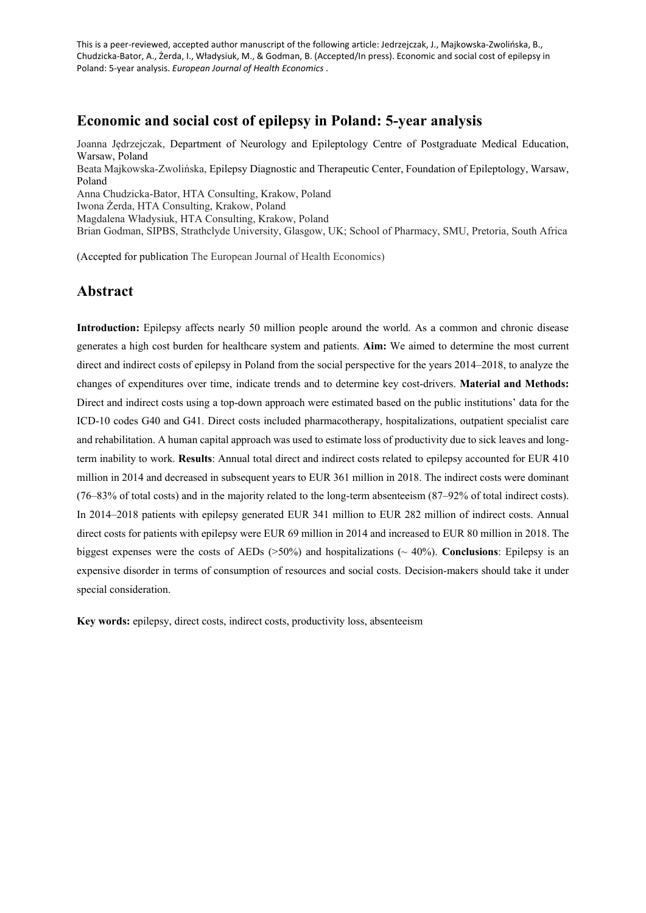This is a peer-reviewed, accepted author manuscript of the following article: Jedrzejczak, J., Majkowska-Zwolińska, B., Chudzicka-Bator, A., Żerda, I., Władysiuk, M., & Godman, B. (Accepted/In press). Economic and social cost of epilepsy in Poland: 5-year analysis. *European Journal of Health Economics* .

# **Economic and social cost of epilepsy in Poland: 5-year analysis**

Joanna Jędrzejczak, Department of Neurology and Epileptology Centre of Postgraduate Medical Education, Warsaw, Poland Beata Majkowska-Zwolińska, Epilepsy Diagnostic and Therapeutic Center, Foundation of Epileptology, Warsaw, Poland Anna Chudzicka-Bator, HTA Consulting, Krakow, Poland Iwona Żerda, HTA Consulting, Krakow, Poland Magdalena Władysiuk, HTA Consulting, Krakow, Poland Brian Godman, SIPBS, Strathclyde University, Glasgow, UK; School of Pharmacy, SMU, Pretoria, South Africa

(Accepted for publication The European Journal of Health Economics)

# **Abstract**

**Introduction:** Epilepsy affects nearly 50 million people around the world. As a common and chronic disease generates a high cost burden for healthcare system and patients. **Aim:** We aimed to determine the most current direct and indirect costs of epilepsy in Poland from the social perspective for the years 2014–2018, to analyze the changes of expenditures over time, indicate trends and to determine key cost-drivers. **Material and Methods:**  Direct and indirect costs using a top-down approach were estimated based on the public institutions' data for the ICD-10 codes G40 and G41. Direct costs included pharmacotherapy, hospitalizations, outpatient specialist care and rehabilitation. A human capital approach was used to estimate loss of productivity due to sick leaves and longterm inability to work. **Results**: Annual total direct and indirect costs related to epilepsy accounted for EUR 410 million in 2014 and decreased in subsequent years to EUR 361 million in 2018. The indirect costs were dominant (76–83% of total costs) and in the majority related to the long-term absenteeism (87–92% of total indirect costs). In 2014–2018 patients with epilepsy generated EUR 341 million to EUR 282 million of indirect costs. Annual direct costs for patients with epilepsy were EUR 69 million in 2014 and increased to EUR 80 million in 2018. The biggest expenses were the costs of AEDs  $(>50\%)$  and hospitalizations  $(~40\%)$ . **Conclusions**: Epilepsy is an expensive disorder in terms of consumption of resources and social costs. Decision-makers should take it under special consideration.

**Key words:** epilepsy, direct costs, indirect costs, productivity loss, absenteeism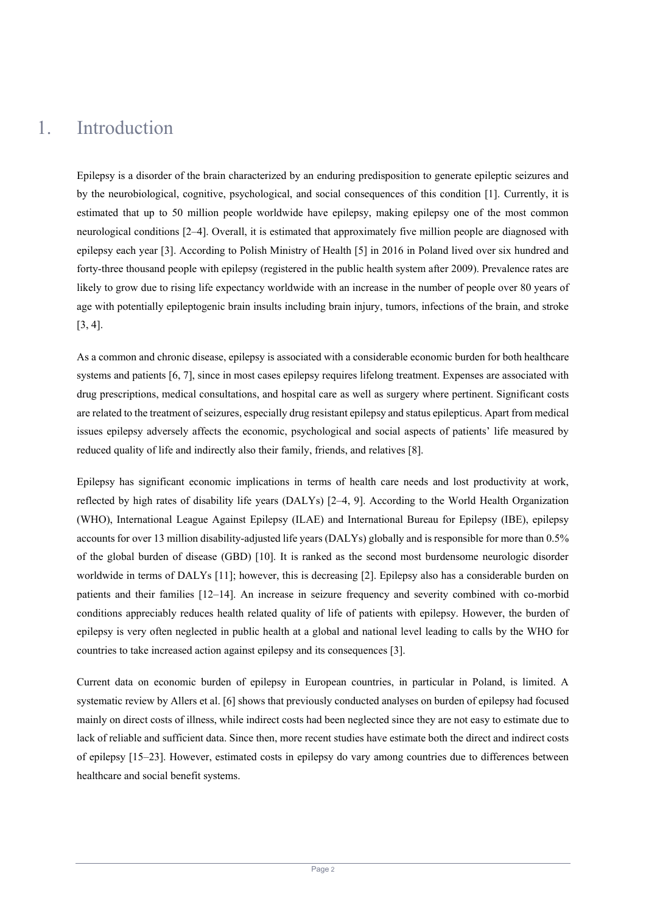# 1. Introduction

Epilepsy is a disorder of the brain characterized by an enduring predisposition to generate epileptic seizures and by the neurobiological, cognitive, psychological, and social consequences of this condition [1]. Currently, it is estimated that up to 50 million people worldwide have epilepsy, making epilepsy one of the most common neurological conditions [2–4]. Overall, it is estimated that approximately five million people are diagnosed with epilepsy each year [3]. According to Polish Ministry of Health [5] in 2016 in Poland lived over six hundred and forty-three thousand people with epilepsy (registered in the public health system after 2009). Prevalence rates are likely to grow due to rising life expectancy worldwide with an increase in the number of people over 80 years of age with potentially epileptogenic brain insults including brain injury, tumors, infections of the brain, and stroke [3, 4].

As a common and chronic disease, epilepsy is associated with a considerable economic burden for both healthcare systems and patients [6, 7], since in most cases epilepsy requires lifelong treatment. Expenses are associated with drug prescriptions, medical consultations, and hospital care as well as surgery where pertinent. Significant costs are related to the treatment of seizures, especially drug resistant epilepsy and status epilepticus. Apart from medical issues epilepsy adversely affects the economic, psychological and social aspects of patients' life measured by reduced quality of life and indirectly also their family, friends, and relatives [8].

Epilepsy has significant economic implications in terms of health care needs and lost productivity at work, reflected by high rates of disability life years (DALYs) [2–4, 9]. According to the World Health Organization (WHO), International League Against Epilepsy (ILAE) and International Bureau for Epilepsy (IBE), epilepsy accounts for over 13 million disability-adjusted life years (DALYs) globally and is responsible for more than 0.5% of the global burden of disease (GBD) [10]. It is ranked as the second most burdensome neurologic disorder worldwide in terms of DALYs [11]; however, this is decreasing [2]. Epilepsy also has a considerable burden on patients and their families [12–14]. An increase in seizure frequency and severity combined with co-morbid conditions appreciably reduces health related quality of life of patients with epilepsy. However, the burden of epilepsy is very often neglected in public health at a global and national level leading to calls by the WHO for countries to take increased action against epilepsy and its consequences [3].

Current data on economic burden of epilepsy in European countries, in particular in Poland, is limited. A systematic review by Allers et al. [6] shows that previously conducted analyses on burden of epilepsy had focused mainly on direct costs of illness, while indirect costs had been neglected since they are not easy to estimate due to lack of reliable and sufficient data. Since then, more recent studies have estimate both the direct and indirect costs of epilepsy [15–23]. However, estimated costs in epilepsy do vary among countries due to differences between healthcare and social benefit systems.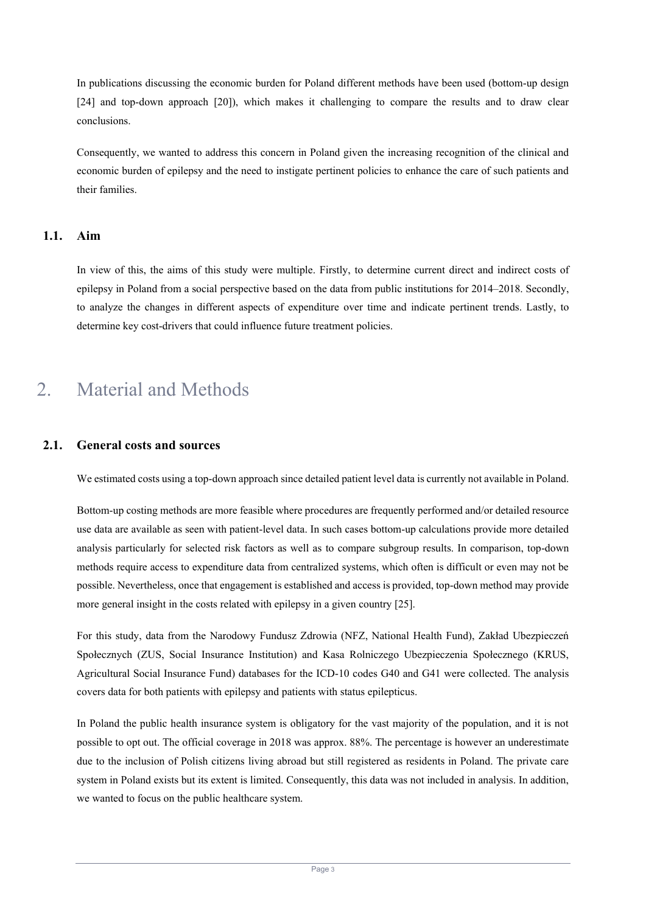In publications discussing the economic burden for Poland different methods have been used (bottom-up design [24] and top-down approach [20]), which makes it challenging to compare the results and to draw clear conclusions.

Consequently, we wanted to address this concern in Poland given the increasing recognition of the clinical and economic burden of epilepsy and the need to instigate pertinent policies to enhance the care of such patients and their families.

# **1.1. Aim**

In view of this, the aims of this study were multiple. Firstly, to determine current direct and indirect costs of epilepsy in Poland from a social perspective based on the data from public institutions for 2014–2018. Secondly, to analyze the changes in different aspects of expenditure over time and indicate pertinent trends. Lastly, to determine key cost-drivers that could influence future treatment policies.

# 2. Material and Methods

# **2.1. General costs and sources**

We estimated costs using a top-down approach since detailed patient level data is currently not available in Poland.

Bottom-up costing methods are more feasible where procedures are frequently performed and/or detailed resource use data are available as seen with patient-level data. In such cases bottom-up calculations provide more detailed analysis particularly for selected risk factors as well as to compare subgroup results. In comparison, top-down methods require access to expenditure data from centralized systems, which often is difficult or even may not be possible. Nevertheless, once that engagement is established and access is provided, top-down method may provide more general insight in the costs related with epilepsy in a given country [25].

For this study, data from the Narodowy Fundusz Zdrowia (NFZ, National Health Fund), Zakład Ubezpieczeń Społecznych (ZUS, Social Insurance Institution) and Kasa Rolniczego Ubezpieczenia Społecznego (KRUS, Agricultural Social Insurance Fund) databases for the ICD-10 codes G40 and G41 were collected. The analysis covers data for both patients with epilepsy and patients with status epilepticus.

In Poland the public health insurance system is obligatory for the vast majority of the population, and it is not possible to opt out. The official coverage in 2018 was approx. 88%. The percentage is however an underestimate due to the inclusion of Polish citizens living abroad but still registered as residents in Poland. The private care system in Poland exists but its extent is limited. Consequently, this data was not included in analysis. In addition, we wanted to focus on the public healthcare system.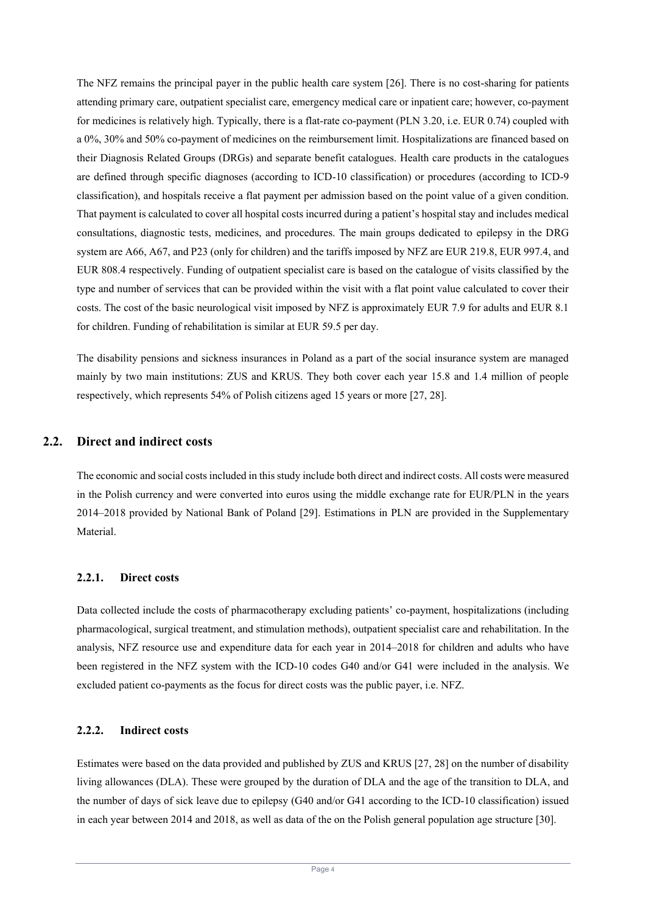The NFZ remains the principal payer in the public health care system [26]. There is no cost-sharing for patients attending primary care, outpatient specialist care, emergency medical care or inpatient care; however, co-payment for medicines is relatively high. Typically, there is a flat-rate co-payment (PLN 3.20, i.e. EUR 0.74) coupled with a 0%, 30% and 50% co-payment of medicines on the reimbursement limit. Hospitalizations are financed based on their Diagnosis Related Groups (DRGs) and separate benefit catalogues. Health care products in the catalogues are defined through specific diagnoses (according to ICD-10 classification) or procedures (according to ICD-9 classification), and hospitals receive a flat payment per admission based on the point value of a given condition. That payment is calculated to cover all hospital costs incurred during a patient's hospital stay and includes medical consultations, diagnostic tests, medicines, and procedures. The main groups dedicated to epilepsy in the DRG system are A66, A67, and P23 (only for children) and the tariffs imposed by NFZ are EUR 219.8, EUR 997.4, and EUR 808.4 respectively. Funding of outpatient specialist care is based on the catalogue of visits classified by the type and number of services that can be provided within the visit with a flat point value calculated to cover their costs. The cost of the basic neurological visit imposed by NFZ is approximately EUR 7.9 for adults and EUR 8.1 for children. Funding of rehabilitation is similar at EUR 59.5 per day.

The disability pensions and sickness insurances in Poland as a part of the social insurance system are managed mainly by two main institutions: ZUS and KRUS. They both cover each year 15.8 and 1.4 million of people respectively, which represents 54% of Polish citizens aged 15 years or more [27, 28].

# **2.2. Direct and indirect costs**

The economic and social costs included in this study include both direct and indirect costs. All costs were measured in the Polish currency and were converted into euros using the middle exchange rate for EUR/PLN in the years 2014–2018 provided by National Bank of Poland [29]. Estimations in PLN are provided in the Supplementary Material.

#### **2.2.1. Direct costs**

Data collected include the costs of pharmacotherapy excluding patients' co-payment, hospitalizations (including pharmacological, surgical treatment, and stimulation methods), outpatient specialist care and rehabilitation. In the analysis, NFZ resource use and expenditure data for each year in 2014–2018 for children and adults who have been registered in the NFZ system with the ICD-10 codes G40 and/or G41 were included in the analysis. We excluded patient co-payments as the focus for direct costs was the public payer, i.e. NFZ.

# **2.2.2. Indirect costs**

Estimates were based on the data provided and published by ZUS and KRUS [27, 28] on the number of disability living allowances (DLA). These were grouped by the duration of DLA and the age of the transition to DLA, and the number of days of sick leave due to epilepsy (G40 and/or G41 according to the ICD-10 classification) issued in each year between 2014 and 2018, as well as data of the on the Polish general population age structure [30].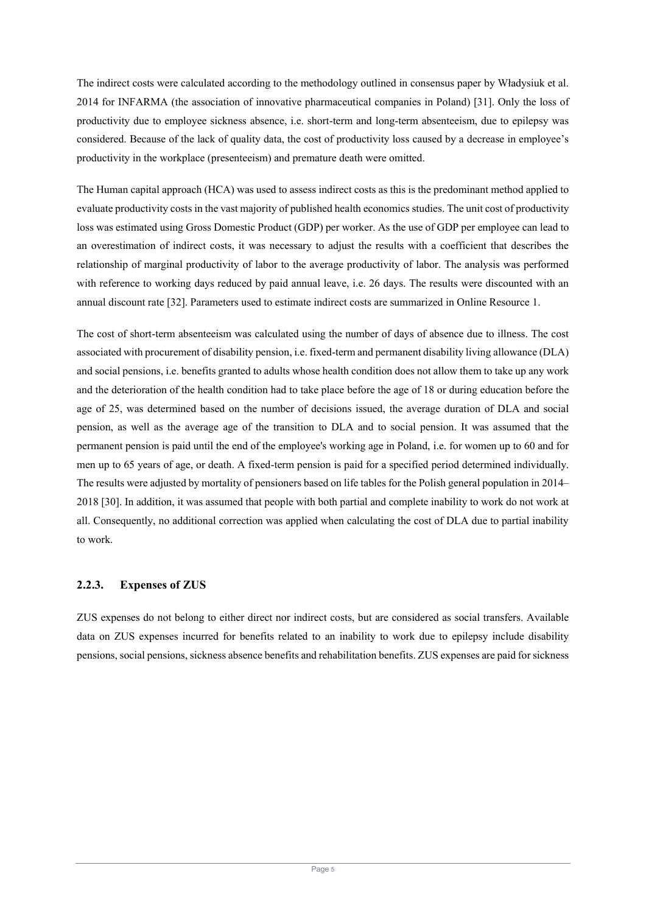The indirect costs were calculated according to the methodology outlined in consensus paper by Władysiuk et al. 2014 for INFARMA (the association of innovative pharmaceutical companies in Poland) [31]. Only the loss of productivity due to employee sickness absence, i.e. short-term and long-term absenteeism, due to epilepsy was considered. Because of the lack of quality data, the cost of productivity loss caused by a decrease in employee's productivity in the workplace (presenteeism) and premature death were omitted.

The Human capital approach (HCA) was used to assess indirect costs as this is the predominant method applied to evaluate productivity costs in the vast majority of published health economics studies. The unit cost of productivity loss was estimated using Gross Domestic Product (GDP) per worker. As the use of GDP per employee can lead to an overestimation of indirect costs, it was necessary to adjust the results with a coefficient that describes the relationship of marginal productivity of labor to the average productivity of labor. The analysis was performed with reference to working days reduced by paid annual leave, i.e. 26 days. The results were discounted with an annual discount rate [32]. Parameters used to estimate indirect costs are summarized in Online Resource 1.

The cost of short-term absenteeism was calculated using the number of days of absence due to illness. The cost associated with procurement of disability pension, i.e. fixed-term and permanent disability living allowance (DLA) and social pensions, i.e. benefits granted to adults whose health condition does not allow them to take up any work and the deterioration of the health condition had to take place before the age of 18 or during education before the age of 25, was determined based on the number of decisions issued, the average duration of DLA and social pension, as well as the average age of the transition to DLA and to social pension. It was assumed that the permanent pension is paid until the end of the employee's working age in Poland, i.e. for women up to 60 and for men up to 65 years of age, or death. A fixed-term pension is paid for a specified period determined individually. The results were adjusted by mortality of pensioners based on life tables for the Polish general population in 2014– 2018 [30]. In addition, it was assumed that people with both partial and complete inability to work do not work at all. Consequently, no additional correction was applied when calculating the cost of DLA due to partial inability to work.

# **2.2.3. Expenses of ZUS**

ZUS expenses do not belong to either direct nor indirect costs, but are considered as social transfers. Available data on ZUS expenses incurred for benefits related to an inability to work due to epilepsy include disability pensions, social pensions, sickness absence benefits and rehabilitation benefits. ZUS expenses are paid for sickness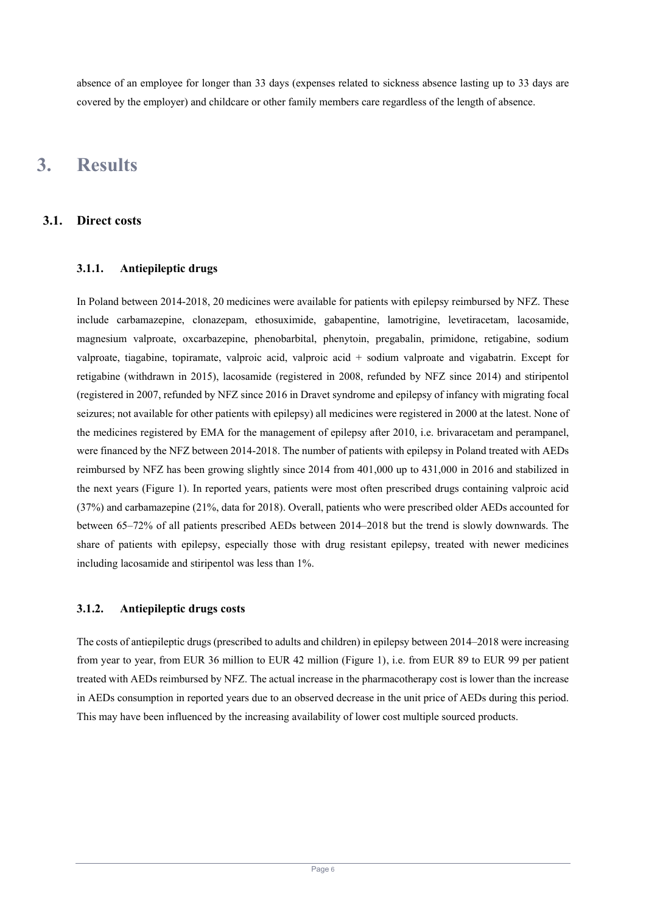absence of an employee for longer than 33 days (expenses related to sickness absence lasting up to 33 days are covered by the employer) and childcare or other family members care regardless of the length of absence.

# **3. Results**

# **3.1. Direct costs**

# **3.1.1. Antiepileptic drugs**

In Poland between 2014-2018, 20 medicines were available for patients with epilepsy reimbursed by NFZ. These include carbamazepine, clonazepam, ethosuximide, gabapentine, lamotrigine, levetiracetam, lacosamide, magnesium valproate, oxcarbazepine, phenobarbital, phenytoin, pregabalin, primidone, retigabine, sodium valproate, tiagabine, topiramate, valproic acid, valproic acid + sodium valproate and vigabatrin. Except for retigabine (withdrawn in 2015), lacosamide (registered in 2008, refunded by NFZ since 2014) and stiripentol (registered in 2007, refunded by NFZ since 2016 in Dravet syndrome and epilepsy of infancy with migrating focal seizures; not available for other patients with epilepsy) all medicines were registered in 2000 at the latest. None of the medicines registered by EMA for the management of epilepsy after 2010, i.e. brivaracetam and perampanel, were financed by the NFZ between 2014-2018. The number of patients with epilepsy in Poland treated with AEDs reimbursed by NFZ has been growing slightly since 2014 from 401,000 up to 431,000 in 2016 and stabilized in the next years (Figure 1). In reported years, patients were most often prescribed drugs containing valproic acid (37%) and carbamazepine (21%, data for 2018). Overall, patients who were prescribed older AEDs accounted for between 65–72% of all patients prescribed AEDs between 2014–2018 but the trend is slowly downwards. The share of patients with epilepsy, especially those with drug resistant epilepsy, treated with newer medicines including lacosamide and stiripentol was less than 1%.

# **3.1.2. Antiepileptic drugs costs**

The costs of antiepileptic drugs (prescribed to adults and children) in epilepsy between 2014–2018 were increasing from year to year, from EUR 36 million to EUR 42 million (Figure 1), i.e. from EUR 89 to EUR 99 per patient treated with AEDs reimbursed by NFZ. The actual increase in the pharmacotherapy cost is lower than the increase in AEDs consumption in reported years due to an observed decrease in the unit price of AEDs during this period. This may have been influenced by the increasing availability of lower cost multiple sourced products.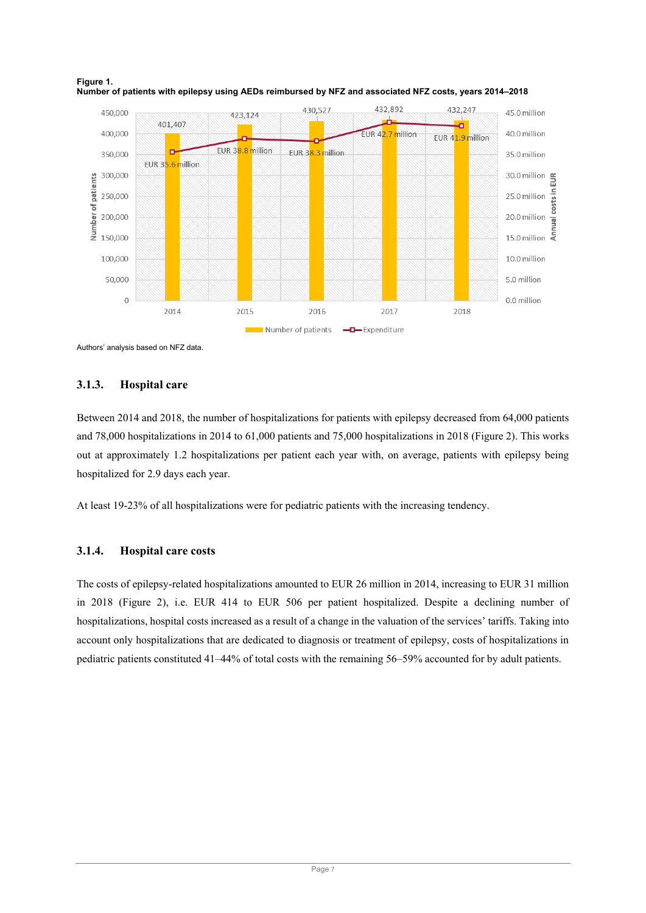

**Figure 1. Number of patients with epilepsy using AEDs reimbursed by NFZ and associated NFZ costs, years 2014–2018**

Authors' analysis based on NFZ data.

#### **3.1.3. Hospital care**

Between 2014 and 2018, the number of hospitalizations for patients with epilepsy decreased from 64,000 patients and 78,000 hospitalizations in 2014 to 61,000 patients and 75,000 hospitalizations in 2018 (Figure 2). This works out at approximately 1.2 hospitalizations per patient each year with, on average, patients with epilepsy being hospitalized for 2.9 days each year.

At least 19-23% of all hospitalizations were for pediatric patients with the increasing tendency.

#### **3.1.4. Hospital care costs**

The costs of epilepsy-related hospitalizations amounted to EUR 26 million in 2014, increasing to EUR 31 million in 2018 (Figure 2), i.e. EUR 414 to EUR 506 per patient hospitalized. Despite a declining number of hospitalizations, hospital costs increased as a result of a change in the valuation of the services' tariffs. Taking into account only hospitalizations that are dedicated to diagnosis or treatment of epilepsy, costs of hospitalizations in pediatric patients constituted 41–44% of total costs with the remaining 56–59% accounted for by adult patients.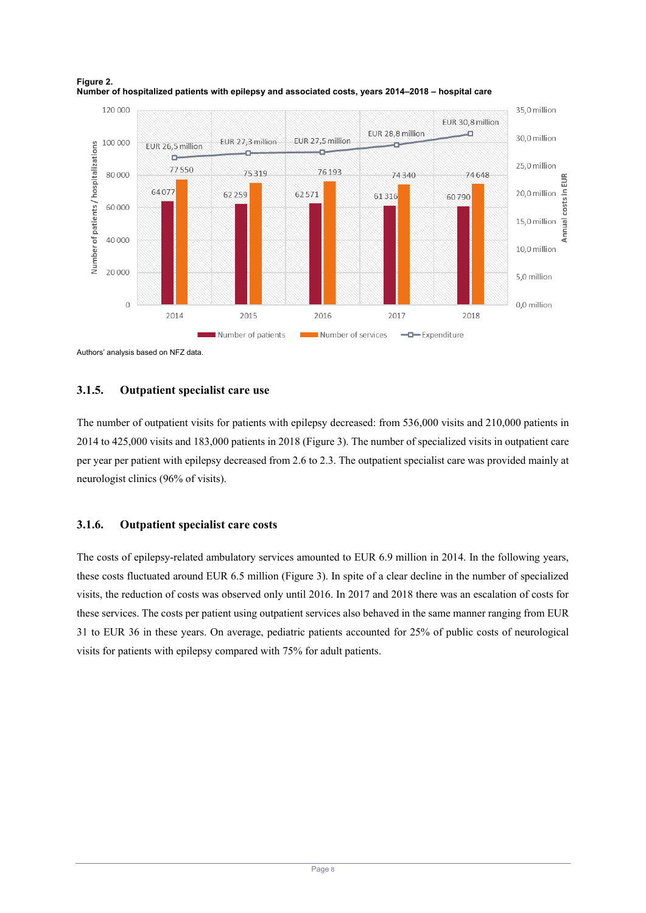

**Figure 2. Number of hospitalized patients with epilepsy and associated costs, years 2014–2018 – hospital care**

Authors' analysis based on NFZ data.

#### **3.1.5. Outpatient specialist care use**

The number of outpatient visits for patients with epilepsy decreased: from 536,000 visits and 210,000 patients in 2014 to 425,000 visits and 183,000 patients in 2018 (Figure 3). The number of specialized visits in outpatient care per year per patient with epilepsy decreased from 2.6 to 2.3. The outpatient specialist care was provided mainly at neurologist clinics (96% of visits).

# **3.1.6. Outpatient specialist care costs**

The costs of epilepsy-related ambulatory services amounted to EUR 6.9 million in 2014. In the following years, these costs fluctuated around EUR 6.5 million (Figure 3). In spite of a clear decline in the number of specialized visits, the reduction of costs was observed only until 2016. In 2017 and 2018 there was an escalation of costs for these services. The costs per patient using outpatient services also behaved in the same manner ranging from EUR 31 to EUR 36 in these years. On average, pediatric patients accounted for 25% of public costs of neurological visits for patients with epilepsy compared with 75% for adult patients.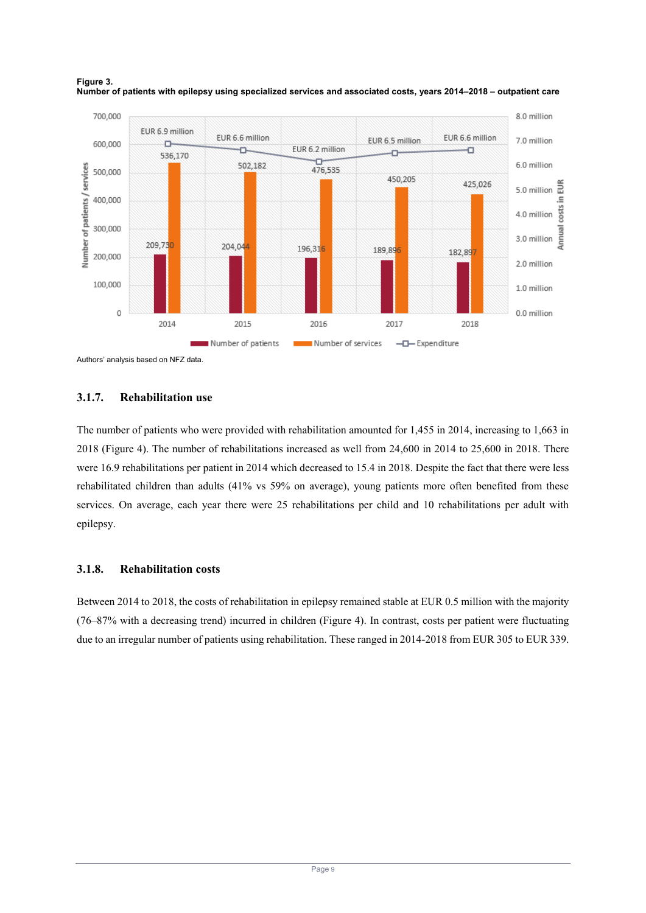

**Figure 3. Number of patients with epilepsy using specialized services and associated costs, years 2014–2018 – outpatient care**

#### **3.1.7. Rehabilitation use**

The number of patients who were provided with rehabilitation amounted for 1,455 in 2014, increasing to 1,663 in 2018 (Figure 4). The number of rehabilitations increased as well from 24,600 in 2014 to 25,600 in 2018. There were 16.9 rehabilitations per patient in 2014 which decreased to 15.4 in 2018. Despite the fact that there were less rehabilitated children than adults (41% vs 59% on average), young patients more often benefited from these services. On average, each year there were 25 rehabilitations per child and 10 rehabilitations per adult with epilepsy.

#### **3.1.8. Rehabilitation costs**

Between 2014 to 2018, the costs of rehabilitation in epilepsy remained stable at EUR 0.5 million with the majority (76–87% with a decreasing trend) incurred in children (Figure 4). In contrast, costs per patient were fluctuating due to an irregular number of patients using rehabilitation. These ranged in 2014-2018 from EUR 305 to EUR 339.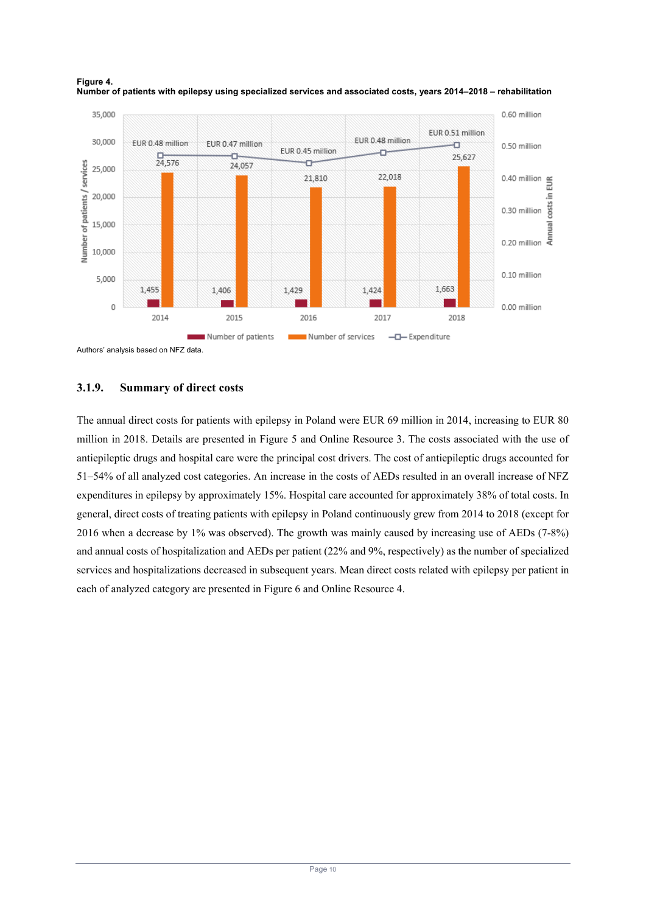



Authors' analysis based on NFZ data.

### **3.1.9. Summary of direct costs**

The annual direct costs for patients with epilepsy in Poland were EUR 69 million in 2014, increasing to EUR 80 million in 2018. Details are presented in Figure 5 and Online Resource 3. The costs associated with the use of antiepileptic drugs and hospital care were the principal cost drivers. The cost of antiepileptic drugs accounted for 51–54% of all analyzed cost categories. An increase in the costs of AEDs resulted in an overall increase of NFZ expenditures in epilepsy by approximately 15%. Hospital care accounted for approximately 38% of total costs. In general, direct costs of treating patients with epilepsy in Poland continuously grew from 2014 to 2018 (except for 2016 when a decrease by 1% was observed). The growth was mainly caused by increasing use of AEDs (7-8%) and annual costs of hospitalization and AEDs per patient (22% and 9%, respectively) as the number of specialized services and hospitalizations decreased in subsequent years. Mean direct costs related with epilepsy per patient in each of analyzed category are presented in Figure 6 and Online Resource 4.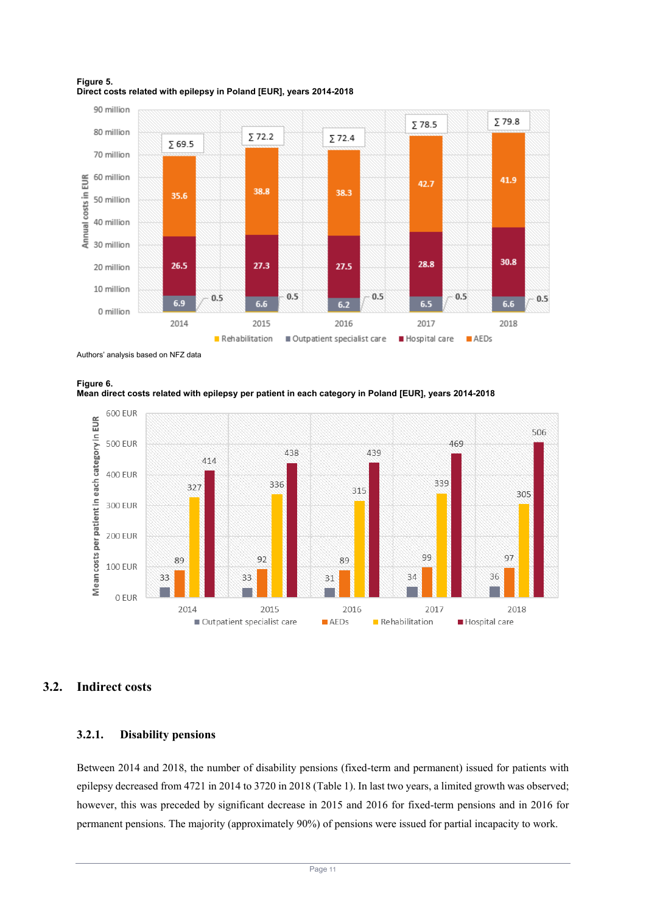



Authors' analysis based on NFZ data





# **3.2. Indirect costs**

#### **3.2.1. Disability pensions**

Between 2014 and 2018, the number of disability pensions (fixed-term and permanent) issued for patients with epilepsy decreased from 4721 in 2014 to 3720 in 2018 (Table 1). In last two years, a limited growth was observed; however, this was preceded by significant decrease in 2015 and 2016 for fixed-term pensions and in 2016 for permanent pensions. The majority (approximately 90%) of pensions were issued for partial incapacity to work.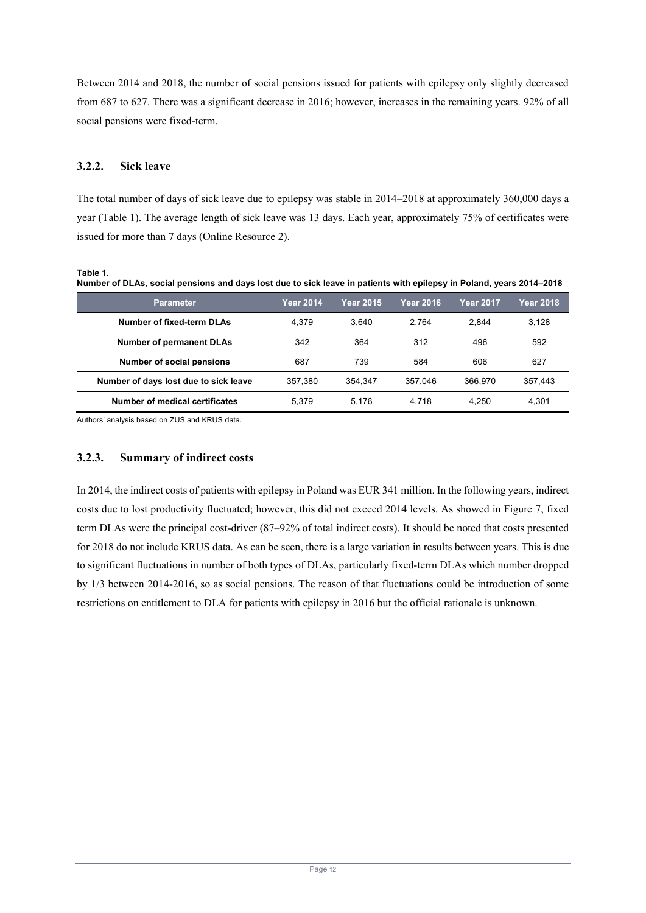Between 2014 and 2018, the number of social pensions issued for patients with epilepsy only slightly decreased from 687 to 627. There was a significant decrease in 2016; however, increases in the remaining years. 92% of all social pensions were fixed-term.

### **3.2.2. Sick leave**

The total number of days of sick leave due to epilepsy was stable in 2014–2018 at approximately 360,000 days a year (Table 1). The average length of sick leave was 13 days. Each year, approximately 75% of certificates were issued for more than 7 days (Online Resource 2).

#### **Table 1.**

| Number of DLAs, social pensions and days lost due to sick leave in patients with epilepsy in Poland, years 2014–2018 |  |
|----------------------------------------------------------------------------------------------------------------------|--|
|----------------------------------------------------------------------------------------------------------------------|--|

| <b>Parameter</b>                      | <b>Year 2014</b> | <b>Year 2015</b> | <b>Year 2016</b> | <b>Year 2017</b> | <b>Year 2018</b> |
|---------------------------------------|------------------|------------------|------------------|------------------|------------------|
| Number of fixed-term DLAs             | 4.379            | 3.640            | 2.764            | 2.844            | 3.128            |
| <b>Number of permanent DLAs</b>       | 342              | 364              | 312              | 496              | 592              |
| Number of social pensions             | 687              | 739              | 584              | 606              | 627              |
| Number of days lost due to sick leave | 357.380          | 354.347          | 357.046          | 366.970          | 357.443          |
| Number of medical certificates        | 5.379            | 5.176            | 4.718            | 4.250            | 4,301            |

Authors' analysis based on ZUS and KRUS data.

### **3.2.3. Summary of indirect costs**

In 2014, the indirect costs of patients with epilepsy in Poland was EUR 341 million. In the following years, indirect costs due to lost productivity fluctuated; however, this did not exceed 2014 levels. As showed in Figure 7, fixed term DLAs were the principal cost-driver (87–92% of total indirect costs). It should be noted that costs presented for 2018 do not include KRUS data. As can be seen, there is a large variation in results between years. This is due to significant fluctuations in number of both types of DLAs, particularly fixed-term DLAs which number dropped by 1/3 between 2014-2016, so as social pensions. The reason of that fluctuations could be introduction of some restrictions on entitlement to DLA for patients with epilepsy in 2016 but the official rationale is unknown.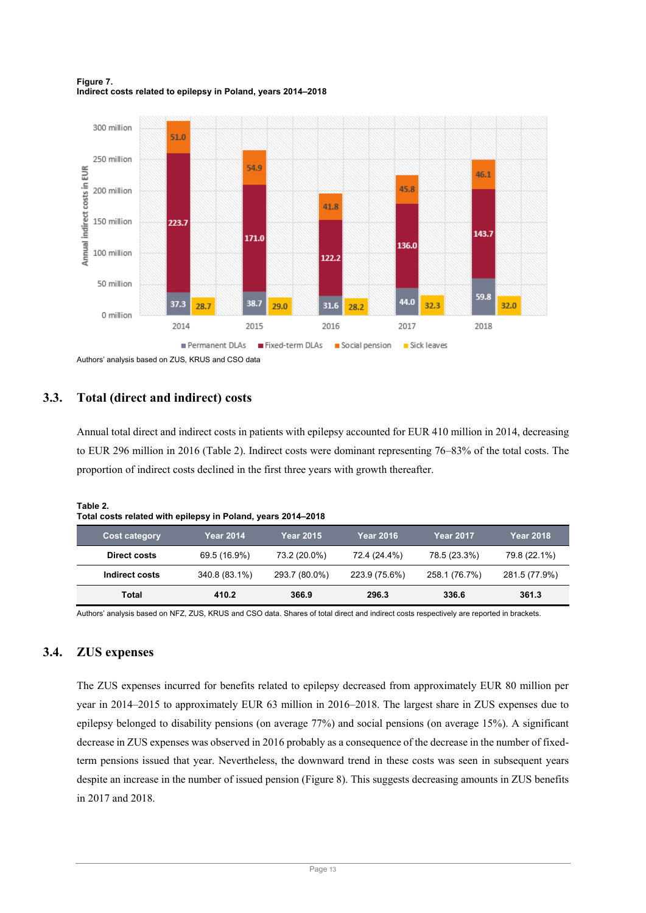**Figure 7. Indirect costs related to epilepsy in Poland, years 2014–2018**



Authors' analysis based on ZUS, KRUS and CSO data

# **3.3. Total (direct and indirect) costs**

Annual total direct and indirect costs in patients with epilepsy accounted for EUR 410 million in 2014, decreasing to EUR 296 million in 2016 (Table 2). Indirect costs were dominant representing 76–83% of the total costs. The proportion of indirect costs declined in the first three years with growth thereafter.

**Table 2.**

|  | Total costs related with epilepsy in Poland, years 2014–2018 |  |  |  |  |
|--|--------------------------------------------------------------|--|--|--|--|
|--|--------------------------------------------------------------|--|--|--|--|

| Cost category  | <b>Year 2014</b> | Year 2015     | <b>Year 2016</b> | <b>Year 2017</b> | <b>Year 2018</b> |
|----------------|------------------|---------------|------------------|------------------|------------------|
| Direct costs   | 69.5 (16.9%)     | 73.2 (20.0%)  | 72.4 (24.4%)     | 78.5 (23.3%)     | 79.8 (22.1%)     |
| Indirect costs | 340.8 (83.1%)    | 293.7 (80.0%) | 223.9 (75.6%)    | 258.1 (76.7%)    | 281.5 (77.9%)    |
| Total          | 410.2            | 366.9         | 296.3            | 336.6            | 361.3            |

Authors' analysis based on NFZ, ZUS, KRUS and CSO data. Shares of total direct and indirect costs respectively are reported in brackets.

# **3.4. ZUS expenses**

The ZUS expenses incurred for benefits related to epilepsy decreased from approximately EUR 80 million per year in 2014–2015 to approximately EUR 63 million in 2016–2018. The largest share in ZUS expenses due to epilepsy belonged to disability pensions (on average 77%) and social pensions (on average 15%). A significant decrease in ZUS expenses was observed in 2016 probably as a consequence of the decrease in the number of fixedterm pensions issued that year. Nevertheless, the downward trend in these costs was seen in subsequent years despite an increase in the number of issued pension (Figure 8). This suggests decreasing amounts in ZUS benefits in 2017 and 2018.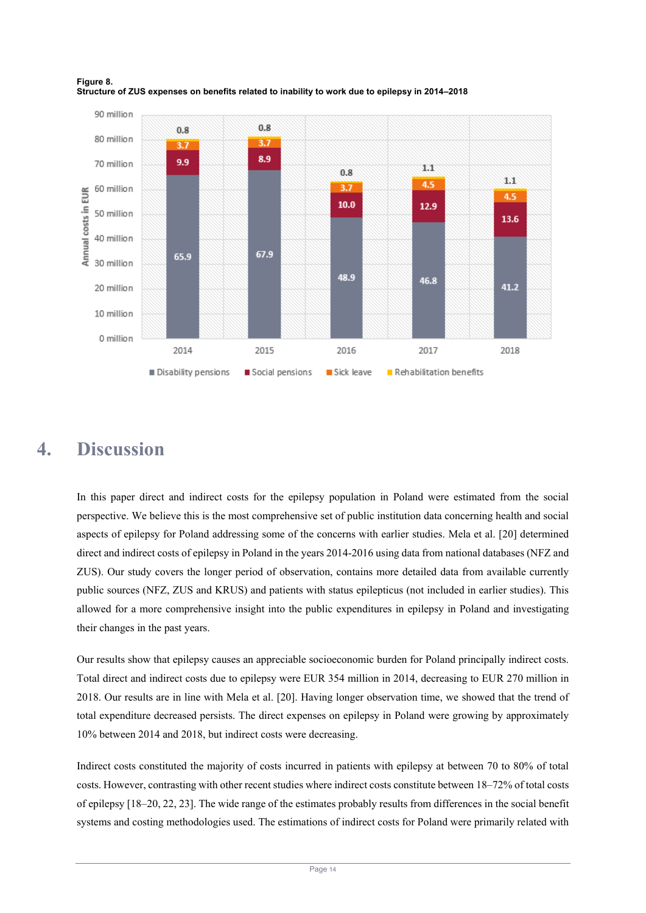

**Figure 8. Structure of ZUS expenses on benefits related to inability to work due to epilepsy in 2014–2018**

# **4. Discussion**

In this paper direct and indirect costs for the epilepsy population in Poland were estimated from the social perspective. We believe this is the most comprehensive set of public institution data concerning health and social aspects of epilepsy for Poland addressing some of the concerns with earlier studies. Mela et al. [20] determined direct and indirect costs of epilepsy in Poland in the years 2014-2016 using data from national databases (NFZ and ZUS). Our study covers the longer period of observation, contains more detailed data from available currently public sources (NFZ, ZUS and KRUS) and patients with status epilepticus (not included in earlier studies). This allowed for a more comprehensive insight into the public expenditures in epilepsy in Poland and investigating their changes in the past years.

Our results show that epilepsy causes an appreciable socioeconomic burden for Poland principally indirect costs. Total direct and indirect costs due to epilepsy were EUR 354 million in 2014, decreasing to EUR 270 million in 2018. Our results are in line with Mela et al. [20]. Having longer observation time, we showed that the trend of total expenditure decreased persists. The direct expenses on epilepsy in Poland were growing by approximately 10% between 2014 and 2018, but indirect costs were decreasing.

Indirect costs constituted the majority of costs incurred in patients with epilepsy at between 70 to 80% of total costs. However, contrasting with other recent studies where indirect costs constitute between 18–72% of total costs of epilepsy [18–20, 22, 23]. The wide range of the estimates probably results from differences in the social benefit systems and costing methodologies used. The estimations of indirect costs for Poland were primarily related with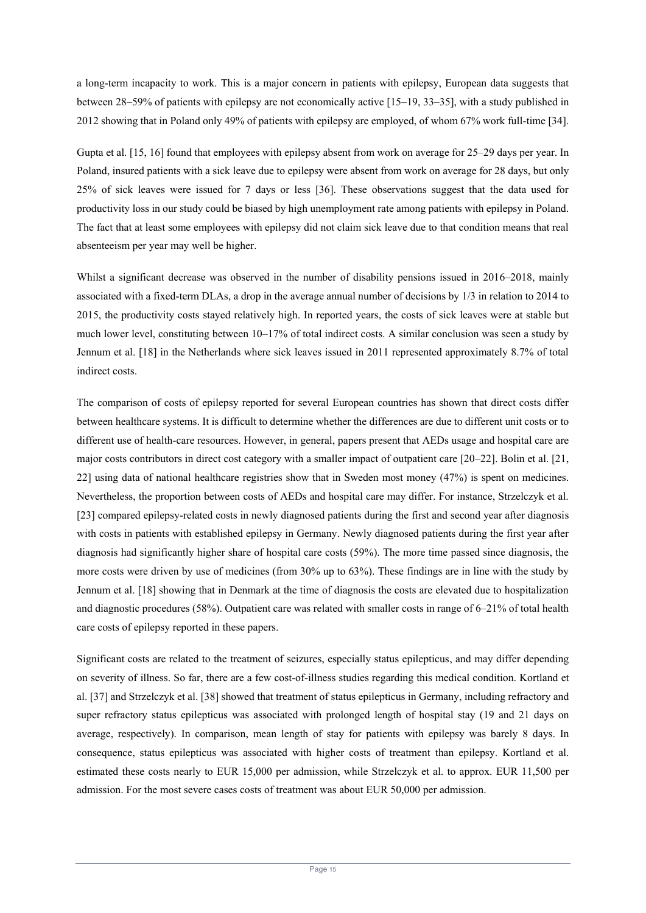a long-term incapacity to work. This is a major concern in patients with epilepsy, European data suggests that between 28–59% of patients with epilepsy are not economically active [15–19, 33–35], with a study published in 2012 showing that in Poland only 49% of patients with epilepsy are employed, of whom 67% work full-time [34].

Gupta et al. [15, 16] found that employees with epilepsy absent from work on average for 25–29 days per year. In Poland, insured patients with a sick leave due to epilepsy were absent from work on average for 28 days, but only 25% of sick leaves were issued for 7 days or less [36]. These observations suggest that the data used for productivity loss in our study could be biased by high unemployment rate among patients with epilepsy in Poland. The fact that at least some employees with epilepsy did not claim sick leave due to that condition means that real absenteeism per year may well be higher.

Whilst a significant decrease was observed in the number of disability pensions issued in 2016–2018, mainly associated with a fixed-term DLAs, a drop in the average annual number of decisions by 1/3 in relation to 2014 to 2015, the productivity costs stayed relatively high. In reported years, the costs of sick leaves were at stable but much lower level, constituting between 10–17% of total indirect costs. A similar conclusion was seen a study by Jennum et al. [18] in the Netherlands where sick leaves issued in 2011 represented approximately 8.7% of total indirect costs.

The comparison of costs of epilepsy reported for several European countries has shown that direct costs differ between healthcare systems. It is difficult to determine whether the differences are due to different unit costs or to different use of health-care resources. However, in general, papers present that AEDs usage and hospital care are major costs contributors in direct cost category with a smaller impact of outpatient care [20–22]. Bolin et al. [21, 22] using data of national healthcare registries show that in Sweden most money (47%) is spent on medicines. Nevertheless, the proportion between costs of AEDs and hospital care may differ. For instance, Strzelczyk et al. [23] compared epilepsy-related costs in newly diagnosed patients during the first and second year after diagnosis with costs in patients with established epilepsy in Germany. Newly diagnosed patients during the first year after diagnosis had significantly higher share of hospital care costs (59%). The more time passed since diagnosis, the more costs were driven by use of medicines (from 30% up to 63%). These findings are in line with the study by Jennum et al. [18] showing that in Denmark at the time of diagnosis the costs are elevated due to hospitalization and diagnostic procedures (58%). Outpatient care was related with smaller costs in range of 6–21% of total health care costs of epilepsy reported in these papers.

Significant costs are related to the treatment of seizures, especially status epilepticus, and may differ depending on severity of illness. So far, there are a few cost-of-illness studies regarding this medical condition. Kortland et al. [37] and Strzelczyk et al. [38] showed that treatment of status epilepticus in Germany, including refractory and super refractory status epilepticus was associated with prolonged length of hospital stay (19 and 21 days on average, respectively). In comparison, mean length of stay for patients with epilepsy was barely 8 days. In consequence, status epilepticus was associated with higher costs of treatment than epilepsy. Kortland et al. estimated these costs nearly to EUR 15,000 per admission, while Strzelczyk et al. to approx. EUR 11,500 per admission. For the most severe cases costs of treatment was about EUR 50,000 per admission.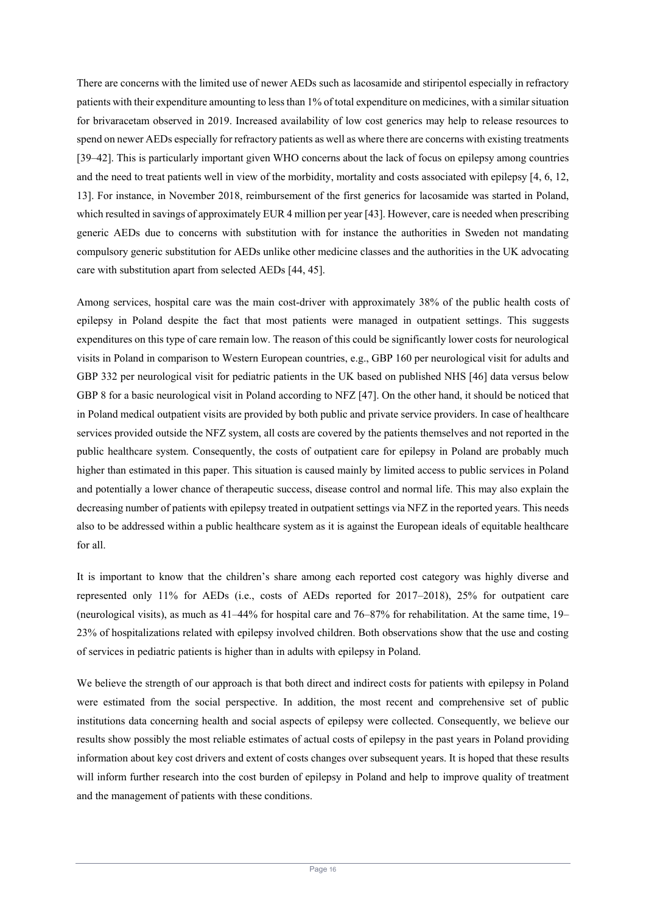There are concerns with the limited use of newer AEDs such as lacosamide and stiripentol especially in refractory patients with their expenditure amounting to less than 1% of total expenditure on medicines, with a similar situation for brivaracetam observed in 2019. Increased availability of low cost generics may help to release resources to spend on newer AEDs especially for refractory patients as well as where there are concerns with existing treatments [39–42]. This is particularly important given WHO concerns about the lack of focus on epilepsy among countries and the need to treat patients well in view of the morbidity, mortality and costs associated with epilepsy [4, 6, 12, 13]. For instance, in November 2018, reimbursement of the first generics for lacosamide was started in Poland, which resulted in savings of approximately EUR 4 million per year [43]. However, care is needed when prescribing generic AEDs due to concerns with substitution with for instance the authorities in Sweden not mandating compulsory generic substitution for AEDs unlike other medicine classes and the authorities in the UK advocating care with substitution apart from selected AEDs [44, 45].

Among services, hospital care was the main cost-driver with approximately 38% of the public health costs of epilepsy in Poland despite the fact that most patients were managed in outpatient settings. This suggests expenditures on this type of care remain low. The reason of this could be significantly lower costs for neurological visits in Poland in comparison to Western European countries, e.g., GBP 160 per neurological visit for adults and GBP 332 per neurological visit for pediatric patients in the UK based on published NHS [46] data versus below GBP 8 for a basic neurological visit in Poland according to NFZ [47]. On the other hand, it should be noticed that in Poland medical outpatient visits are provided by both public and private service providers. In case of healthcare services provided outside the NFZ system, all costs are covered by the patients themselves and not reported in the public healthcare system. Consequently, the costs of outpatient care for epilepsy in Poland are probably much higher than estimated in this paper. This situation is caused mainly by limited access to public services in Poland and potentially a lower chance of therapeutic success, disease control and normal life. This may also explain the decreasing number of patients with epilepsy treated in outpatient settings via NFZ in the reported years. This needs also to be addressed within a public healthcare system as it is against the European ideals of equitable healthcare for all.

It is important to know that the children's share among each reported cost category was highly diverse and represented only 11% for AEDs (i.e., costs of AEDs reported for 2017–2018), 25% for outpatient care (neurological visits), as much as 41–44% for hospital care and 76–87% for rehabilitation. At the same time, 19– 23% of hospitalizations related with epilepsy involved children. Both observations show that the use and costing of services in pediatric patients is higher than in adults with epilepsy in Poland.

We believe the strength of our approach is that both direct and indirect costs for patients with epilepsy in Poland were estimated from the social perspective. In addition, the most recent and comprehensive set of public institutions data concerning health and social aspects of epilepsy were collected. Consequently, we believe our results show possibly the most reliable estimates of actual costs of epilepsy in the past years in Poland providing information about key cost drivers and extent of costs changes over subsequent years. It is hoped that these results will inform further research into the cost burden of epilepsy in Poland and help to improve quality of treatment and the management of patients with these conditions.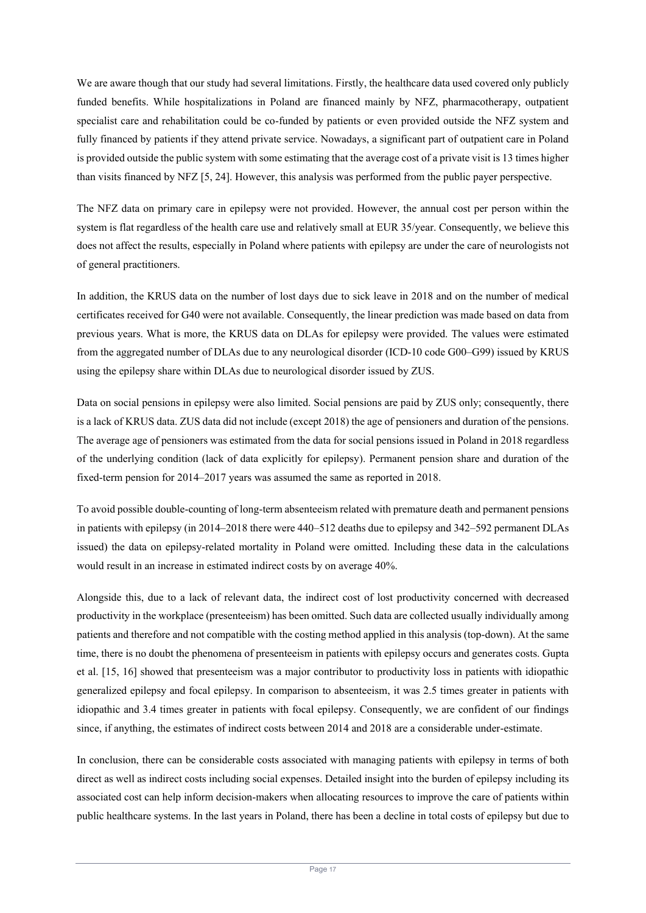We are aware though that our study had several limitations. Firstly, the healthcare data used covered only publicly funded benefits. While hospitalizations in Poland are financed mainly by NFZ, pharmacotherapy, outpatient specialist care and rehabilitation could be co-funded by patients or even provided outside the NFZ system and fully financed by patients if they attend private service. Nowadays, a significant part of outpatient care in Poland is provided outside the public system with some estimating that the average cost of a private visit is 13 times higher than visits financed by NFZ [5, 24]. However, this analysis was performed from the public payer perspective.

The NFZ data on primary care in epilepsy were not provided. However, the annual cost per person within the system is flat regardless of the health care use and relatively small at EUR 35/year. Consequently, we believe this does not affect the results, especially in Poland where patients with epilepsy are under the care of neurologists not of general practitioners.

In addition, the KRUS data on the number of lost days due to sick leave in 2018 and on the number of medical certificates received for G40 were not available. Consequently, the linear prediction was made based on data from previous years. What is more, the KRUS data on DLAs for epilepsy were provided. The values were estimated from the aggregated number of DLAs due to any neurological disorder (ICD-10 code G00–G99) issued by KRUS using the epilepsy share within DLAs due to neurological disorder issued by ZUS.

Data on social pensions in epilepsy were also limited. Social pensions are paid by ZUS only; consequently, there is a lack of KRUS data. ZUS data did not include (except 2018) the age of pensioners and duration of the pensions. The average age of pensioners was estimated from the data for social pensions issued in Poland in 2018 regardless of the underlying condition (lack of data explicitly for epilepsy). Permanent pension share and duration of the fixed-term pension for 2014–2017 years was assumed the same as reported in 2018.

To avoid possible double-counting of long-term absenteeism related with premature death and permanent pensions in patients with epilepsy (in 2014–2018 there were 440–512 deaths due to epilepsy and 342–592 permanent DLAs issued) the data on epilepsy-related mortality in Poland were omitted. Including these data in the calculations would result in an increase in estimated indirect costs by on average 40%.

Alongside this, due to a lack of relevant data, the indirect cost of lost productivity concerned with decreased productivity in the workplace (presenteeism) has been omitted. Such data are collected usually individually among patients and therefore and not compatible with the costing method applied in this analysis (top-down). At the same time, there is no doubt the phenomena of presenteeism in patients with epilepsy occurs and generates costs. Gupta et al. [15, 16] showed that presenteeism was a major contributor to productivity loss in patients with idiopathic generalized epilepsy and focal epilepsy. In comparison to absenteeism, it was 2.5 times greater in patients with idiopathic and 3.4 times greater in patients with focal epilepsy. Consequently, we are confident of our findings since, if anything, the estimates of indirect costs between 2014 and 2018 are a considerable under-estimate.

In conclusion, there can be considerable costs associated with managing patients with epilepsy in terms of both direct as well as indirect costs including social expenses. Detailed insight into the burden of epilepsy including its associated cost can help inform decision-makers when allocating resources to improve the care of patients within public healthcare systems. In the last years in Poland, there has been a decline in total costs of epilepsy but due to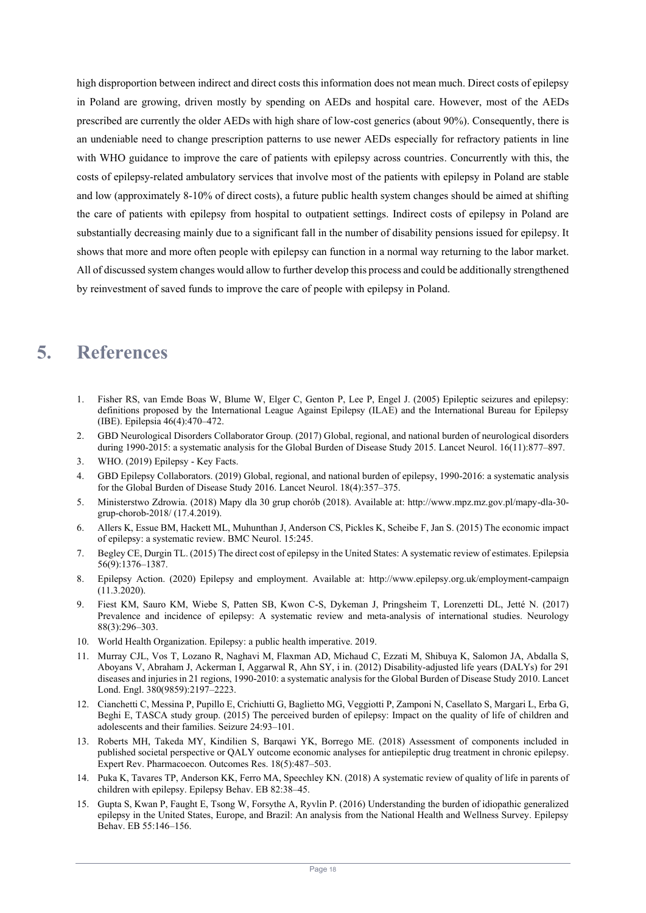high disproportion between indirect and direct costs this information does not mean much. Direct costs of epilepsy in Poland are growing, driven mostly by spending on AEDs and hospital care. However, most of the AEDs prescribed are currently the older AEDs with high share of low-cost generics (about 90%). Consequently, there is an undeniable need to change prescription patterns to use newer AEDs especially for refractory patients in line with WHO guidance to improve the care of patients with epilepsy across countries. Concurrently with this, the costs of epilepsy-related ambulatory services that involve most of the patients with epilepsy in Poland are stable and low (approximately 8-10% of direct costs), a future public health system changes should be aimed at shifting the care of patients with epilepsy from hospital to outpatient settings. Indirect costs of epilepsy in Poland are substantially decreasing mainly due to a significant fall in the number of disability pensions issued for epilepsy. It shows that more and more often people with epilepsy can function in a normal way returning to the labor market. All of discussed system changes would allow to further develop this process and could be additionally strengthened by reinvestment of saved funds to improve the care of people with epilepsy in Poland.

# **5. References**

- 1. Fisher RS, van Emde Boas W, Blume W, Elger C, Genton P, Lee P, Engel J. (2005) Epileptic seizures and epilepsy: definitions proposed by the International League Against Epilepsy (ILAE) and the International Bureau for Epilepsy (IBE). Epilepsia 46(4):470–472.
- 2. GBD Neurological Disorders Collaborator Group. (2017) Global, regional, and national burden of neurological disorders during 1990-2015: a systematic analysis for the Global Burden of Disease Study 2015. Lancet Neurol. 16(11):877–897.
- 3. WHO. (2019) Epilepsy Key Facts.
- 4. GBD Epilepsy Collaborators. (2019) Global, regional, and national burden of epilepsy, 1990-2016: a systematic analysis for the Global Burden of Disease Study 2016. Lancet Neurol. 18(4):357–375.
- 5. Ministerstwo Zdrowia. (2018) Mapy dla 30 grup chorób (2018). Available at: http://www.mpz.mz.gov.pl/mapy-dla-30 grup-chorob-2018/ (17.4.2019).
- 6. Allers K, Essue BM, Hackett ML, Muhunthan J, Anderson CS, Pickles K, Scheibe F, Jan S. (2015) The economic impact of epilepsy: a systematic review. BMC Neurol. 15:245.
- 7. Begley CE, Durgin TL. (2015) The direct cost of epilepsy in the United States: A systematic review of estimates. Epilepsia 56(9):1376–1387.
- 8. Epilepsy Action. (2020) Epilepsy and employment. Available at: http://www.epilepsy.org.uk/employment-campaign  $(11.3.2020)$ .
- 9. Fiest KM, Sauro KM, Wiebe S, Patten SB, Kwon C-S, Dykeman J, Pringsheim T, Lorenzetti DL, Jetté N. (2017) Prevalence and incidence of epilepsy: A systematic review and meta-analysis of international studies. Neurology 88(3):296–303.
- 10. World Health Organization. Epilepsy: a public health imperative. 2019.
- 11. Murray CJL, Vos T, Lozano R, Naghavi M, Flaxman AD, Michaud C, Ezzati M, Shibuya K, Salomon JA, Abdalla S, Aboyans V, Abraham J, Ackerman I, Aggarwal R, Ahn SY, i in. (2012) Disability-adjusted life years (DALYs) for 291 diseases and injuries in 21 regions, 1990-2010: a systematic analysis for the Global Burden of Disease Study 2010. Lancet Lond. Engl. 380(9859):2197–2223.
- 12. Cianchetti C, Messina P, Pupillo E, Crichiutti G, Baglietto MG, Veggiotti P, Zamponi N, Casellato S, Margari L, Erba G, Beghi E, TASCA study group. (2015) The perceived burden of epilepsy: Impact on the quality of life of children and adolescents and their families. Seizure 24:93–101.
- 13. Roberts MH, Takeda MY, Kindilien S, Barqawi YK, Borrego ME. (2018) Assessment of components included in published societal perspective or QALY outcome economic analyses for antiepileptic drug treatment in chronic epilepsy. Expert Rev. Pharmacoecon. Outcomes Res. 18(5):487–503.
- 14. Puka K, Tavares TP, Anderson KK, Ferro MA, Speechley KN. (2018) A systematic review of quality of life in parents of children with epilepsy. Epilepsy Behav. EB 82:38–45.
- 15. Gupta S, Kwan P, Faught E, Tsong W, Forsythe A, Ryvlin P. (2016) Understanding the burden of idiopathic generalized epilepsy in the United States, Europe, and Brazil: An analysis from the National Health and Wellness Survey. Epilepsy Behav. EB 55:146–156.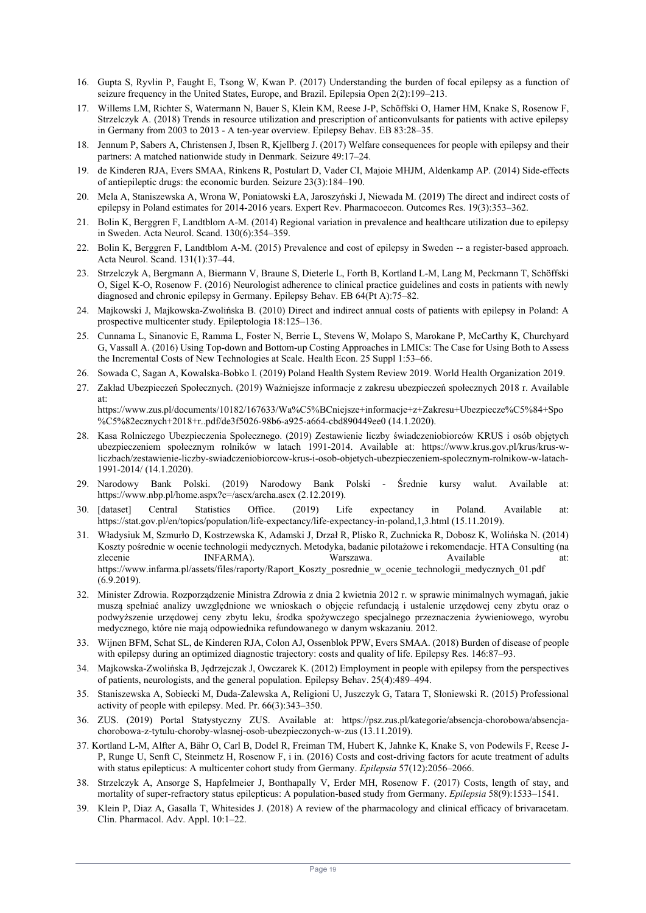- 16. Gupta S, Ryvlin P, Faught E, Tsong W, Kwan P. (2017) Understanding the burden of focal epilepsy as a function of seizure frequency in the United States, Europe, and Brazil. Epilepsia Open 2(2):199–213.
- 17. Willems LM, Richter S, Watermann N, Bauer S, Klein KM, Reese J-P, Schöffski O, Hamer HM, Knake S, Rosenow F, Strzelczyk A. (2018) Trends in resource utilization and prescription of anticonvulsants for patients with active epilepsy in Germany from 2003 to 2013 - A ten-year overview. Epilepsy Behav. EB 83:28–35.
- 18. Jennum P, Sabers A, Christensen J, Ibsen R, Kjellberg J. (2017) Welfare consequences for people with epilepsy and their partners: A matched nationwide study in Denmark. Seizure 49:17–24.
- 19. de Kinderen RJA, Evers SMAA, Rinkens R, Postulart D, Vader CI, Majoie MHJM, Aldenkamp AP. (2014) Side-effects of antiepileptic drugs: the economic burden. Seizure 23(3):184–190.
- 20. Mela A, Staniszewska A, Wrona W, Poniatowski ŁA, Jaroszyński J, Niewada M. (2019) The direct and indirect costs of epilepsy in Poland estimates for 2014-2016 years. Expert Rev. Pharmacoecon. Outcomes Res. 19(3):353–362.
- 21. Bolin K, Berggren F, Landtblom A-M. (2014) Regional variation in prevalence and healthcare utilization due to epilepsy in Sweden. Acta Neurol. Scand. 130(6):354–359.
- 22. Bolin K, Berggren F, Landtblom A-M. (2015) Prevalence and cost of epilepsy in Sweden -- a register-based approach. Acta Neurol. Scand. 131(1):37–44.
- 23. Strzelczyk A, Bergmann A, Biermann V, Braune S, Dieterle L, Forth B, Kortland L-M, Lang M, Peckmann T, Schöffski O, Sigel K-O, Rosenow F. (2016) Neurologist adherence to clinical practice guidelines and costs in patients with newly diagnosed and chronic epilepsy in Germany. Epilepsy Behav. EB 64(Pt A):75–82.
- 24. Majkowski J, Majkowska-Zwolińska B. (2010) Direct and indirect annual costs of patients with epilepsy in Poland: A prospective multicenter study. Epileptologia 18:125–136.
- 25. Cunnama L, Sinanovic E, Ramma L, Foster N, Berrie L, Stevens W, Molapo S, Marokane P, McCarthy K, Churchyard G, Vassall A. (2016) Using Top-down and Bottom-up Costing Approaches in LMICs: The Case for Using Both to Assess the Incremental Costs of New Technologies at Scale. Health Econ. 25 Suppl 1:53–66.
- 26. Sowada C, Sagan A, Kowalska-Bobko I. (2019) Poland Health System Review 2019. World Health Organization 2019.
- 27. Zakład Ubezpieczeń Społecznych. (2019) Ważniejsze informacje z zakresu ubezpieczeń społecznych 2018 r. Available at:

https://www.zus.pl/documents/10182/167633/Wa%C5%BCniejsze+informacje+z+Zakresu+Ubezpiecze%C5%84+Spo %C5%82ecznych+2018+r..pdf/de3f5026-98b6-a925-a664-cbd890449ee0 (14.1.2020).

- 28. Kasa Rolniczego Ubezpieczenia Społecznego. (2019) Zestawienie liczby świadczeniobiorców KRUS i osób objętych ubezpieczeniem społecznym rolników w latach 1991-2014. Available at: https://www.krus.gov.pl/krus/krus-wliczbach/zestawienie-liczby-swiadczeniobiorcow-krus-i-osob-objetych-ubezpieczeniem-spolecznym-rolnikow-w-latach-1991-2014/ (14.1.2020).
- 29. Narodowy Bank Polski. (2019) Narodowy Bank Polski Średnie kursy walut. Available at: https://www.nbp.pl/home.aspx?c=/ascx/archa.ascx (2.12.2019).
- 30. [dataset] Central Statistics Office. (2019) Life expectancy in Poland. Available at: https://stat.gov.pl/en/topics/population/life-expectancy/life-expectancy-in-poland,1,3.html (15.11.2019).
- 31. Władysiuk M, Szmurło D, Kostrzewska K, Adamski J, Drzał R, Plisko R, Zuchnicka R, Dobosz K, Wolińska N. (2014) Koszty pośrednie w ocenie technologii medycznych. Metodyka, badanie pilotażowe i rekomendacje. HTA Consulting (na zlecenie INFARMA). Warszawa. Available at: https://www.infarma.pl/assets/files/raporty/Raport\_Koszty\_posrednie\_w\_ocenie\_technologii\_medycznych\_01.pdf (6.9.2019).
- 32. Minister Zdrowia. Rozporządzenie Ministra Zdrowia z dnia 2 kwietnia 2012 r. w sprawie minimalnych wymagań, jakie muszą spełniać analizy uwzględnione we wnioskach o objęcie refundacją i ustalenie urzędowej ceny zbytu oraz o podwyższenie urzędowej ceny zbytu leku, środka spożywczego specjalnego przeznaczenia żywieniowego, wyrobu medycznego, które nie mają odpowiednika refundowanego w danym wskazaniu. 2012.
- 33. Wijnen BFM, Schat SL, de Kinderen RJA, Colon AJ, Ossenblok PPW, Evers SMAA. (2018) Burden of disease of people with epilepsy during an optimized diagnostic trajectory: costs and quality of life. Epilepsy Res. 146:87–93.
- 34. Majkowska-Zwolińska B, Jędrzejczak J, Owczarek K. (2012) Employment in people with epilepsy from the perspectives of patients, neurologists, and the general population. Epilepsy Behav. 25(4):489–494.
- 35. Staniszewska A, Sobiecki M, Duda-Zalewska A, Religioni U, Juszczyk G, Tatara T, Słoniewski R. (2015) Professional activity of people with epilepsy. Med. Pr. 66(3):343–350.
- 36. ZUS. (2019) Portal Statystyczny ZUS. Available at: https://psz.zus.pl/kategorie/absencja-chorobowa/absencjachorobowa-z-tytulu-choroby-wlasnej-osob-ubezpieczonych-w-zus (13.11.2019).
- 37. Kortland L-M, Alfter A, Bähr O, Carl B, Dodel R, Freiman TM, Hubert K, Jahnke K, Knake S, von Podewils F, Reese J-P, Runge U, Senft C, Steinmetz H, Rosenow F, i in. (2016) Costs and cost-driving factors for acute treatment of adults with status epilepticus: A multicenter cohort study from Germany. *Epilepsia* 57(12):2056–2066.
- 38. Strzelczyk A, Ansorge S, Hapfelmeier J, Bonthapally V, Erder MH, Rosenow F. (2017) Costs, length of stay, and mortality of super-refractory status epilepticus: A population-based study from Germany. *Epilepsia* 58(9):1533–1541.
- 39. Klein P, Diaz A, Gasalla T, Whitesides J. (2018) A review of the pharmacology and clinical efficacy of brivaracetam. Clin. Pharmacol. Adv. Appl. 10:1–22.